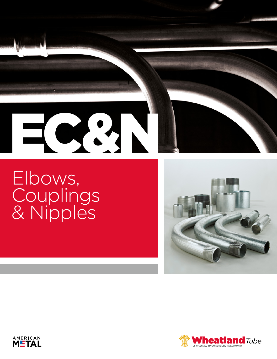# $\bullet$

Elbows, **Couplings** & Nipples





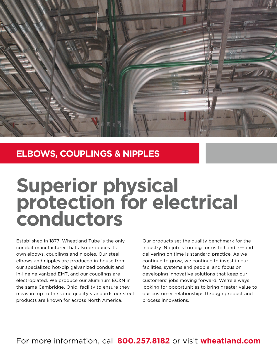

# **ELBOWS, COUPLINGS & NIPPLES**

# **Superior physical protection for electrical conductors**

Established in 1877, Wheatland Tube is the only conduit manufacturer that also produces its own elbows, couplings and nipples. Our steel elbows and nipples are produced in-house from our specialized hot-dip galvanized conduit and in-line galvanized EMT, and our couplings are electroplated. We produce our aluminum EC&N in the same Cambridge, Ohio, facility to ensure they measure up to the same quality standards our steel products are known for across North America.

Our products set the quality benchmark for the industry. No job is too big for us to handle — and delivering on time is standard practice. As we continue to grow, we continue to invest in our facilities, systems and people, and focus on developing innovative solutions that keep our customers' jobs moving forward. We're always looking for opportunities to bring greater value to our customer relationships through product and process innovations.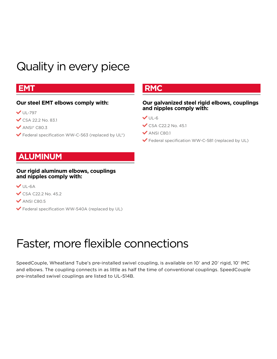# Quality in every piece

# **EMT**

## **Our steel EMT elbows comply with:**

- $V$  UL-797
- $\checkmark$  CSA 22.2 No. 83.1
- $\blacktriangledown$  ANSI® C80.3
- $\blacktriangleright$  Federal specification WW-C-563 (replaced by UL®)

# **ALUMINUM**

#### **Our rigid aluminum elbows, couplings and nipples comply with:**

- $V$  UL-6A
- $\checkmark$  CSA C22.2 No. 45.2
- $\blacktriangledown$  ANSI C80.5
- L Federal specification WW-540A (replaced by UL)

# Faster, more flexible connections

SpeedCouple, Wheatland Tube's pre-installed swivel coupling, is available on 10' and 20' rigid, 10' IMC and elbows. The coupling connects in as little as half the time of conventional couplings. SpeedCouple pre-installed swivel couplings are listed to UL-514B.

# **RMC**

#### **Our galvanized steel rigid elbows, couplings and nipples comply with:**

 $VUL-6$ 

- $\checkmark$  CSA C22.2 No. 45.1
- $\blacktriangledown$  ANSI C80.1
- $\blacktriangleright$  Federal specification WW-C-581 (replaced by UL)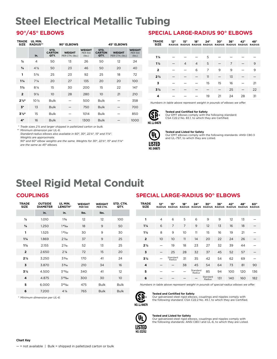# **Steel Electrical Metallic Tubing**

| TRADE<br><b>SIZE</b> | UL MIN.<br><b>RADIUS**</b> |                               | 90° ELBOWS                       |                                           |                               | 45° ELBOWS                       |                                           |
|----------------------|----------------------------|-------------------------------|----------------------------------|-------------------------------------------|-------------------------------|----------------------------------|-------------------------------------------|
|                      | in.                        | STD.<br><b>CARTON</b><br>QTY. | <b>WEIGHT</b><br>PER CTN. (lbs.) | <b>WEIGHT</b><br><b>PER 100</b><br>(lbs.) | STD.<br><b>CARTON</b><br>QTY. | <b>WEIGHT</b><br>PER CTN. (lbs.) | <b>WEIGHT</b><br><b>PER 100</b><br>(lbs.) |
| $\frac{1}{2}$        | $\overline{4}$             | 50                            | 13                               | 26                                        | 50                            | 12                               | 24                                        |
| $\frac{3}{4}$        | $4\frac{1}{2}$             | 50                            | 23                               | 46                                        | 50                            | 20                               | 40                                        |
| 1                    | $5\frac{3}{4}$             | 25                            | 23                               | 92                                        | 25                            | 18                               | 72                                        |
| $1\frac{1}{4}$       | $7\frac{1}{4}$             | 20                            | 27                               | 135                                       | 20                            | 20                               | 100                                       |
| $1\frac{1}{2}$       | $8\frac{1}{4}$             | 15                            | 30                               | 200                                       | 15                            | 22                               | 147                                       |
| $\overline{2}$       | $9\frac{1}{2}$             | 10 <sup>°</sup>               | 28                               | 280                                       | 10 <sup>°</sup>               | 21                               | 210                                       |
| $2\frac{1}{2}$       | $10\frac{1}{2}$            | <b>Bulk</b>                   |                                  | 500                                       | <b>Bulk</b>                   |                                  | 358                                       |
| $3*$                 | 13                         | <b>Bulk</b>                   |                                  | 750                                       | <b>Bulk</b>                   |                                  | 700                                       |
| $3\frac{1}{2}$       | 15                         | <b>Bulk</b>                   |                                  | 1014                                      | <b>Bulk</b>                   |                                  | 850                                       |
| $4*$                 | 16                         | <b>Bulk</b>                   |                                  | 1300                                      | <b>Bulk</b>                   |                                  | 1000                                      |

*\* Trade sizes 2 1/2 and larger shipped in palletized carton or bulk.*

*\*\* Minimum dimension per UL-6.*

 *Standard-radius elbows also available in 60°, 30°, 22 1/2°, 15° and 11 1/4°.*

 *Weights are approximate.*

 *90° and 60° elbow weights are the same. Weights for 30°, 22 1/2°, 15° and 11 1/4° are the same as 45° elbows.*

## **90°/45° ELBOWS SPECIAL LARGE-RADIUS 90° ELBOWS**

| <b>TRADE</b><br><b>SIZE</b> | 12" | 15"            | 18"            | 24" | 30" | 36" | 42"<br>RADIUS RADIUS RADIUS RADIUS RADIUS RADIUS RADIUS RADIUS | 48" |
|-----------------------------|-----|----------------|----------------|-----|-----|-----|----------------------------------------------------------------|-----|
|                             |     |                |                |     |     |     |                                                                |     |
| $1\frac{1}{4}$              |     |                |                | 5   |     |     |                                                                |     |
| $1\frac{1}{2}$              |     | $\overline{4}$ | $\overline{4}$ | 5   |     | 7   |                                                                | 9   |
| $\overline{\mathbf{2}}$     |     |                | 6              | 7   | 9   | 9   |                                                                | 9   |
| $2\frac{1}{2}$              |     |                |                | 11  |     | 13  |                                                                |     |
| 3                           |     |                |                | 15  | 15  | 16  |                                                                | 21  |
| $3\frac{1}{2}$              |     |                |                |     |     | 25  |                                                                | 22  |
| 4                           |     |                |                | 19  | 21  | 24  | 28                                                             | 31  |

*Numbers in table above represent weight in pounds of elbows we offer.*



# **Tested and Certified for Safety** Our EMT elbows comply with the following standard:

CSA C22.2 No. 83.1, to which they are Certified.



#### **Tested and Listed for Safety**

Our EMT elbows comply with the following standards: ANSI C80.3 and UL-797, to which they are Listed.

# **Steel Rigid Metal Conduit**

## **COUPLINGS**

| <b>TRADE</b><br><b>SIZE</b> | <b>OUTSIDE</b><br><b>DIAMETER</b> | UL MIN.<br><b>LENGTH*</b> | <b>WEIGHT</b><br><b>PER 100</b> | <b>WEIGHT</b><br>PER CTN. | STD. CTN.<br>QTY. |
|-----------------------------|-----------------------------------|---------------------------|---------------------------------|---------------------------|-------------------|
|                             | in.                               | in.                       | Ibs.                            | lbs.                      |                   |
| $\frac{1}{2}$               | 1.010                             | $1\frac{5}{8}$            | $12 \overline{ }$               | $12 \overline{ }$         | 100               |
| $\frac{3}{4}$               | 1.250                             | $14\frac{1}{64}$          | 18                              | 9                         | 50                |
| 1                           | 1.525                             | $13\frac{1}{32}$          | 30                              | 9                         | 30                |
| $1\frac{1}{4}$              | 1.869                             | $2\frac{1}{32}$           | 37                              | 9                         | 25                |
| $1\frac{1}{2}$              | 2.155                             | $2\frac{1}{6}$            | 52                              | 13                        | 25                |
| $\overline{2}$              | 2.650                             | $2\frac{1}{8}$            | 72                              | 15                        | 20                |
| $2\frac{1}{2}$              | 3.250                             | $3\frac{3}{16}$           | 170                             | 41                        | 24                |
| 3                           | 3.870                             | $3\frac{5}{16}$           | 210                             | 34                        | 16                |
| $3\frac{1}{2}$              | 4.500                             | $3^{13}/_{32}$            | 340                             | 41                        | $12 \overline{ }$ |
| 4                           | 4.875                             | $3^{33}/64$               | 300                             | 30                        | 10 <sup>°</sup>   |
| 5                           | 6.000                             | $36\frac{1}{64}$          | 475                             | <b>Bulk</b>               | <b>Bulk</b>       |
| 6                           | 7.200                             | $4\frac{1}{4}$            | 765                             | <b>Bulk</b>               | <b>Bulk</b>       |

# **SPECIAL LARGE-RADIUS 90° ELBOWS**

| TRADE<br><b>SIZE</b> | 12"<br><b>RADIUS</b> | 15"<br><b>RADIUS</b> | 18"<br><b>RADIUS</b> | 24"<br><b>RADIUS</b> | 30"<br><b>RADIUS</b> | 36"<br><b>RADIUS</b> | 42"<br><b>RADIUS</b> | 48"<br><b>RADIUS</b> | 60"<br><b>RADIUS</b> |
|----------------------|----------------------|----------------------|----------------------|----------------------|----------------------|----------------------|----------------------|----------------------|----------------------|
|                      |                      |                      |                      |                      |                      |                      |                      |                      |                      |
| 1                    | $\overline{4}$       | 6                    | 5                    | 6                    | 9                    | 9                    | 12                   | 13                   |                      |
| $1\frac{1}{4}$       | 6                    | $\overline{7}$       | 7                    | 9                    | 12                   | 13                   | 16                   | 18                   |                      |
| $1\frac{1}{2}$       | 8                    | 9                    | 10                   | 11                   | 15                   | 16                   | 19                   | 21                   |                      |
| $\overline{2}$       | 10                   | 10 <sup>°</sup>      | 11                   | 14                   | 20                   | 22                   | 24                   | 26                   |                      |
| $2\frac{1}{2}$       |                      | 19                   | 18                   | 23                   | 27                   | 32                   | 39                   | 44                   |                      |
| 3                    |                      | 25                   | 28                   | 32                   | 37                   | 45                   | 52                   | 57                   |                      |
| $3\frac{1}{2}$       |                      | Standard<br>Radius   | 31                   | 35                   | 42                   | 54                   | 62                   | 69                   |                      |
| 4                    |                      |                      | 38                   | 45                   | 54                   | 64                   | 73                   | 81                   | 90                   |
| 5                    |                      |                      |                      | Standard<br>Radius   | 85                   | 94                   | 100                  | 120                  | 136                  |
| 6                    |                      |                      |                      |                      | Standard<br>Radius   | 131                  | 140                  | 160                  | 182                  |

 *Numbers in table above represent weight in pounds of special-radius elbows we offer.*



**Tested and Certified for Safety** Our galvanized steel rigid elbows, couplings and nipples comply with the following standard: CSA C22.2 No. 45.1, to which they are Certified.



#### **Tested and Listed for Safety**

Our galvanized steel rigid elbows, couplings and nipples comply with the following standards: ANSI C80.1 and UL-6, to which they are Listed.

*\* Minimum dimension per UL-6.*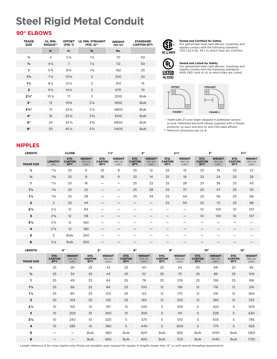# **Steel Rigid Metal Conduit**

## **90° ELBOWS**

| <b>TRADE</b><br><b>SIZE</b> | UL MIN.<br><b>RADIUS**</b> | <b>OFFSET</b><br>(FIG. 1) | <b>UL MIN. STRAIGHT</b><br>(FIG. 2)** | <b>WEIGHT</b><br><b>PER 100</b> | <b>STANDARD</b><br><b>CARTON QTY.</b> |
|-----------------------------|----------------------------|---------------------------|---------------------------------------|---------------------------------|---------------------------------------|
|                             | in.                        | in.                       | in.                                   | lbs.                            |                                       |
| $\frac{1}{2}$               | $\overline{4}$             | $5\%$                     | $1\frac{1}{2}$                        | 70                              | 50                                    |
| $\frac{3}{4}$               | $4\frac{1}{2}$             | $\overline{7}$            | $1\frac{1}{2}$                        | 112                             | 50                                    |
| $\mathbf{1}$                | $5\frac{3}{4}$             | $8\frac{3}{4}$            | $1\frac{7}{8}$                        | 192                             | 25                                    |
| $1\frac{1}{4}$              | $7\frac{1}{4}$             | $10\frac{3}{4}$           | 2                                     | 320                             | 20                                    |
| $1\frac{1}{2}$              | $8\frac{1}{4}$             | $12\frac{1}{4}$           | 2                                     | 413                             | 15                                    |
| $\overline{2}$              | $9\frac{1}{2}$             | $14\frac{1}{2}$           | $\overline{2}$                        | 670                             | 10 <sup>°</sup>                       |
| $2\frac{1}{2}$              | $10\frac{1}{2}$            | 17                        | 3                                     | 1200                            | <b>Bulk</b>                           |
| $3*$                        | 13                         | $19\%$                    | $3\%$                                 | 1900                            | <b>Bulk</b>                           |
| $3\frac{1}{2}$              | 15                         | $22\frac{3}{4}$           | $3\frac{1}{4}$                        | 2800                            | <b>Bulk</b>                           |
| $4*$                        | 16                         | $23\%$                    | $3\frac{3}{8}$                        | 3100                            | <b>Bulk</b>                           |
| $5*$                        | 24                         | $34\%$                    | $3\frac{5}{8}$                        | 6800                            | <b>Bulk</b>                           |
| $6*$                        | 30                         | $45\%$                    | $3\frac{3}{4}$                        | 11400                           | <b>Bulk</b>                           |



## $\overline{\mathsf{Y}_{\mathsf{L}}}$ **LISTED NO. E32152**



**Tested and Certified for Safety**

Our galvanized steel rigid elbows, couplings and nipples comply with the following standard: CSA C22.2 No. 45.1, to which they are Certified.

**Tested and Listed for Safety**<br>Our galvanized steel rigid elbows, couplings and<br>nipples comply with the following standards: ANSI C80.1 and UL-6, to which they are Listed.

*\* Trade sizes 2 ½ and larger shipped in palletized cartons or bulk. Palletized and bulk elbows supplied with a thread protector on each end and UL and CSA label affixed.*

*\*\* Minimum dimension per UL-6.*

## **NIPPLES**

| <b>LENGTH</b>     |                  | <b>CLOSE</b>                  |                                           | $1\frac{1}{2}$                |                                           |                               | 2"                                        |                               | $2\frac{1}{2}$                            | 3"                            |                                           |                               | 3½"                                       |
|-------------------|------------------|-------------------------------|-------------------------------------------|-------------------------------|-------------------------------------------|-------------------------------|-------------------------------------------|-------------------------------|-------------------------------------------|-------------------------------|-------------------------------------------|-------------------------------|-------------------------------------------|
| <b>TRADE SIZE</b> | LENGTH*<br>(IN.) | STD.<br><b>CARTON</b><br>QTY. | <b>WEIGHT</b><br><b>PER 100</b><br>(LBS.) | STD.<br><b>CARTON</b><br>QTY. | <b>WEIGHT</b><br><b>PER 100</b><br>(LBS.) | STD.<br><b>CARTON</b><br>QTY. | <b>WEIGHT</b><br><b>PER 100</b><br>(LBS.) | STD.<br><b>CARTON</b><br>QTY. | <b>WEIGHT</b><br><b>PER 100</b><br>(LBS.) | STD.<br><b>CARTON</b><br>QTY. | <b>WEIGHT</b><br><b>PER 100</b><br>(LBS.) | STD.<br><b>CARTON</b><br>QTY. | <b>WEIGHT</b><br><b>PER 100</b><br>(LBS.) |
| $\frac{1}{2}$     | $1\frac{1}{8}$   | 25                            | 6                                         | 25                            | 8                                         | 25                            | 12                                        | 25                            | 15                                        | 25                            | 19                                        | 25                            | 22                                        |
| $^{3}/_{4}$       | $1\frac{3}{8}$   | 25                            | 9                                         | 25                            | $\mathsf 9$                               | 25                            | 14                                        | 25                            | 19                                        | 25                            | 24                                        | 25                            | 28                                        |
| 1                 | $1\frac{1}{2}$   | 25                            | 16                                        | $\overline{\phantom{0}}$      | $\overline{\phantom{0}}$                  | 25                            | 22                                        | 25                            | 28                                        | 25                            | 36                                        | 25                            | 43                                        |
| $1\frac{1}{4}$    | $1\frac{5}{8}$   | 25                            | 22                                        |                               | $\qquad \qquad$                           | 25                            | 28                                        | 25                            | 37                                        | 25                            | 47                                        | 25                            | 55                                        |
| $1\frac{1}{2}$    | $1\frac{3}{4}$   | 25                            | 28                                        |                               |                                           | 25                            | 34                                        | 25                            | 44                                        | 25                            | 56                                        | 25                            | 68                                        |
| $\overline{2}$    | 2                | 25                            | 44                                        |                               |                                           |                               | $\overline{\phantom{m}}$                  | 25                            | 59                                        | 25                            | 72                                        | 25                            | 88                                        |
| $2\frac{1}{2}$    | $2\frac{1}{2}$   | 12                            | 84                                        |                               |                                           |                               |                                           |                               | $\overline{\phantom{m}}$                  | 10                            | 100                                       | 10                            | 120                                       |
| 3                 | $2\frac{5}{8}$   | 12                            | 118                                       |                               |                                           |                               |                                           |                               |                                           | 10                            | 130                                       | 10                            | 157                                       |
| $3\frac{1}{2}$    | $2\frac{3}{4}$   | 12                            | 160                                       |                               |                                           |                               |                                           |                               |                                           |                               |                                           |                               |                                           |
| 4                 | $2\frac{7}{8}$   | 12                            | 180                                       | —                             |                                           |                               |                                           |                               |                                           |                               |                                           |                               |                                           |
| 5                 | 3                | <b>Bulk</b>                   | 240                                       |                               |                                           |                               |                                           |                               |                                           |                               |                                           |                               |                                           |
| 6                 | $3\frac{1}{8}$   | <b>Bulk</b>                   | 350                                       |                               |                                           |                               |                                           |                               |                                           |                               |                                           |                               |                                           |

| <b>LENGTH</b>     |                               | 4"                                        |                               | 5"                                        |                               | 6"                                        | 8"                            |                                           | 10"                           |                                           | 12"                           |                                           |
|-------------------|-------------------------------|-------------------------------------------|-------------------------------|-------------------------------------------|-------------------------------|-------------------------------------------|-------------------------------|-------------------------------------------|-------------------------------|-------------------------------------------|-------------------------------|-------------------------------------------|
| <b>TRADE SIZE</b> | STD.<br><b>CARTON</b><br>QTY. | <b>WEIGHT</b><br><b>PER 100</b><br>(LES.) | STD.<br><b>CARTON</b><br>QTY. | <b>WEIGHT</b><br><b>PER 100</b><br>(LES.) | STD.<br><b>CARTON</b><br>QTY. | <b>WEIGHT</b><br><b>PER 100</b><br>(LES.) | STD.<br><b>CARTON</b><br>QTY. | <b>WEIGHT</b><br><b>PER 100</b><br>(LBS.) | STD.<br><b>CARTON</b><br>QTY. | <b>WEIGHT</b><br><b>PER 100</b><br>(LBS.) | STD.<br><b>CARTON</b><br>QTY. | <b>WEIGHT</b><br><b>PER 100</b><br>(LBS.) |
| $\frac{1}{2}$     | 25                            | 26                                        | 25                            | 33                                        | 25                            | 40                                        | 25                            | 54                                        | 25                            | 68                                        | 25                            | 82                                        |
| $^{3}/_{4}$       | 25                            | 34                                        | 25                            | 43                                        | 25                            | 52                                        | 25                            | 73                                        | 25                            | 89                                        | 25                            | 109                                       |
| $\mathbf{1}$      | 25                            | 49                                        | 25                            | 64                                        | 25                            | 78                                        | 25                            | 109                                       | 25                            | 138                                       | 25                            | 166                                       |
| $1\frac{1}{4}$    | 25                            | 66                                        | 25                            | 84                                        | 25                            | 100                                       | 12                            | 136                                       | 12                            | 176                                       | 12                            | 216                                       |
| $1\frac{1}{2}$    | 25                            | 80                                        | 25                            | 103                                       | 25                            | 122                                       | 12                            | 170                                       | 12                            | 216                                       | 12                            | 260                                       |
| $\overline{2}$    | 25                            | 103                                       | 25                            | 132                                       | 25                            | 160                                       | 12                            | 220                                       | 12                            | 285                                       | 12                            | 335                                       |
| $2\frac{1}{2}$    | 10                            | 150                                       | 12                            | 197                                       | 12                            | 240                                       | 5                             | 329                                       | 5                             | 422                                       | 5                             | 505                                       |
| 3                 | 10 <sup>°</sup>               | 200                                       | 10 <sup>°</sup>               | 260                                       | 10                            | 300                                       | 5                             | 411                                       | 5                             | 528                                       | 5                             | 630                                       |
| 3½                | 10                            | 240                                       | 10 <sup>°</sup>               | 320                                       | 5                             | 373                                       | 5                             | 510                                       | 5                             | 655                                       | 5                             | 785                                       |
| 4                 | 10 <sup>°</sup>               | 285                                       | 10 <sup>°</sup>               | 380                                       | 5                             | 440                                       | 5                             | 600                                       | 5                             | 775                                       | 5                             | 925                                       |
| 5                 |                               | $\overline{\phantom{m}}$                  | <b>Bulk</b>                   | 480                                       | Bulk                          | 600                                       | <b>Bulk</b>                   | 825                                       | Bulk                          | 1055                                      | <b>Bulk</b>                   | 1260                                      |
| 6                 |                               |                                           | <b>Bulk</b>                   | 660                                       | <b>Bulk</b>                   | 820                                       | <b>Bulk</b>                   | 1125                                      | <b>Bulk</b>                   | 1440                                      | <b>Bulk</b>                   | 1720                                      |

*\* Length reference is for close nipples only. Prices are available upon request for nipples in lengths longer than 12*" *or with special threading requirements.*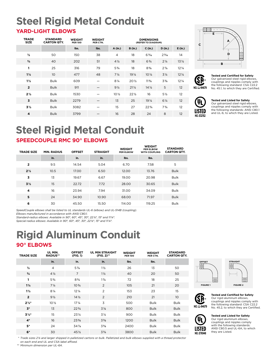# **Steel Rigid Metal Conduit**

## **YARD-LIGHT ELBOWS**

| <b>TRADE</b><br><b>SIZE</b> | <b>STANDARD</b><br><b>CARTON QTY.</b> | <b>WEIGHT</b><br><b>PER 100</b> | <b>WEIGHT</b><br>PER CTN. |                 |                 | <b>DIMENSIONS</b><br>(REFER TO DIAGRAM) |                 |                 |
|-----------------------------|---------------------------------------|---------------------------------|---------------------------|-----------------|-----------------|-----------------------------------------|-----------------|-----------------|
|                             |                                       | lbs.                            | lbs.                      | A (in.)         | <b>B</b> (in.)  | C (in.)                                 | D (in.)         | E(in.)          |
| $\frac{1}{2}$               | 50                                    | 150                             | 38                        | $\overline{4}$  | 18              | $6\frac{3}{16}$                         | $2\frac{3}{16}$ | 14              |
| $\frac{3}{4}$               | 40                                    | 202                             | 51                        | $4\frac{1}{2}$  | 18              | $6\frac{3}{4}$                          | $2\frac{1}{4}$  | $13\frac{1}{2}$ |
| 1                           | 25                                    | 316                             | 79                        | $5\frac{3}{4}$  | 18              | $8\frac{5}{8}$                          | $2\frac{7}{8}$  | $12\frac{1}{4}$ |
| $1\frac{1}{4}$              | 10 <sup>°</sup>                       | 477                             | 48                        | $7\frac{1}{4}$  | 19 <sub>4</sub> | $10\,\frac{1}{4}$                       | $3\frac{1}{4}$  | $12\frac{1}{4}$ |
| $1\frac{1}{2}$              | <b>Bulk</b>                           | 609                             |                           | $8\frac{1}{4}$  | $20\%$          | $11\frac{5}{8}$                         | $3\frac{3}{8}$  | $12\frac{1}{4}$ |
| $\overline{2}$              | <b>Bulk</b>                           | 911                             |                           | $9\frac{1}{2}$  | $21\frac{1}{2}$ | $14\frac{1}{2}$                         | 5               | 12              |
| $2\frac{1}{2}$              | <b>Bulk</b>                           | 1530                            |                           | $10\frac{1}{2}$ | $22\frac{1}{2}$ | 16                                      | 5 1/2           | 12              |
| 3                           | <b>Bulk</b>                           | 2279                            |                           | 13              | 25              | 19 <sup>1</sup> / <sub>4</sub>          | $6\frac{1}{4}$  | 12              |
| $3\frac{1}{2}$              | <b>Bulk</b>                           | 3082                            |                           | 15              | 27              | $22\frac{3}{4}$                         | $7\frac{3}{4}$  | 12              |
| 4                           | <b>Bulk</b>                           | 3799                            |                           | 16              | 28              | 24                                      | 8               | 12 <sup>°</sup> |





#### **Tested and Certified for Safety**

Our galvanized steel rigid elbows, couplings and nipples comply with the following standard: CSA C22.2 **NO. LL-94679** No. 45.1, to which they are Certified.



#### **Tested and Listed for Safety**

Our galvanized steel rigid elbows, couplings and nipples comply with the following standards: ANSI C80.1 and UL-6, to which they are Listed.

# **SPEEDCOUPLE RMC 90° ELBOWS Steel Rigid Metal Conduit**

| <b>TRADE SIZE</b> | <b>MIN. RADIUS</b> | <b>OFFSET</b> | <b>STRAIGHT</b> | <b>WEIGHT</b><br><b>PER ELBOW</b> | <b>WEIGHT</b><br>PER ELBOW<br><b>WITH COUPLING</b> | <b>STANDARD</b><br><b>CARTON QTY.</b> |
|-------------------|--------------------|---------------|-----------------|-----------------------------------|----------------------------------------------------|---------------------------------------|
|                   | in.                | in.           | in.             | lbs.                              | lbs.                                               |                                       |
| $\overline{2}$    | 9.5                | 14.54         | 5.04            | 6.70                              | 7.58                                               | 5                                     |
| $2\frac{1}{2}$    | 10.5               | 17.00         | 6.50            | 12.00                             | 13.76                                              | <b>Bulk</b>                           |
| 3                 | 13                 | 19.67         | 6.67            | 19.00                             | 20.98                                              | <b>Bulk</b>                           |
| $3\frac{1}{2}$    | 15                 | 22.72         | 7.72            | 28.00                             | 30.65                                              | <b>Bulk</b>                           |
| 4                 | 16                 | 23.94         | 7.94            | 31.00                             | 34.09                                              | <b>Bulk</b>                           |
| 5                 | 24                 | 34.90         | 10.90           | 68.00                             | 71.97                                              | <b>Bulk</b>                           |
| 6                 | 30                 | 45.50         | 15.50           | 114.00                            | 119.25                                             | <b>Bulk</b>                           |

*SpeedCouple elbows shall be listed to UL standards UL-6 (elbow) and UL-514B (coupling).* 

*Elbows manufactured in accordance with ANSI C80.1.* 

*Standard-radius elbows: Available in 90°, 60°, 45°, 30°, 22 1/2°, 15° and 11 1/4°. Special-radius elbows: Available in 90°, 60°, 45°, 30°, 22 1/2°, 15° and 11 1/4°.*

**Rigid Aluminum Conduit**

# **90° ELBOWS**

| <b>TRADE SIZE</b> | UL MIN.<br><b>RADIUS**</b> | <b>OFFSET</b><br>(FIG. 1) | <b>UL MIN STRAIGHT</b><br>(FIG. 2)** | <b>WEIGHT</b><br><b>PER 100</b> | <b>WEIGHT</b><br>PER CTN. | <b>STANDARD</b><br><b>CARTON QTY.</b> |
|-------------------|----------------------------|---------------------------|--------------------------------------|---------------------------------|---------------------------|---------------------------------------|
|                   | in.                        | in.                       | in.                                  | lbs.                            | lbs.                      |                                       |
| $\frac{1}{2}$     | $\overline{4}$             | $5\%$                     | $1\frac{1}{2}$                       | 26                              | 13                        | 50                                    |
| $\frac{3}{4}$     | $4\frac{1}{2}$             | $\overline{7}$            | $1\frac{1}{2}$                       | 40                              | 20                        | 50                                    |
| 1                 | $5\frac{3}{4}$             | $8\frac{3}{4}$            | $1\frac{7}{8}$                       | 72                              | 18                        | 25                                    |
| $1\frac{1}{4}$    | $7\frac{1}{4}$             | $10\frac{3}{4}$           | 2                                    | 105                             | 21                        | 20                                    |
| $1\frac{1}{2}$    | $8\frac{1}{4}$             | $12\frac{1}{4}$           | 2                                    | 153                             | 23                        | 15                                    |
| $\overline{2}$    | $9\frac{1}{2}$             | $14\frac{1}{2}$           | 2                                    | 210                             | 21                        | 10 <sup>°</sup>                       |
| $2\frac{1}{2}$    | 10 <sub>2</sub>            | $17\frac{1}{4}$           | 3                                    | 500                             | <b>Bulk</b>               | <b>Bulk</b>                           |
| $3*$              | 13                         | $22\frac{3}{4}$           | $3\frac{1}{8}$                       | 800                             | <b>Bulk</b>               | <b>Bulk</b>                           |
| $3\frac{1}{2}$    | 15                         | $23\frac{1}{4}$           | $3\frac{1}{4}$                       | 900                             | <b>Bulk</b>               | <b>Bulk</b>                           |
| $4*$              | 16                         | $23\frac{3}{8}$           | $3\frac{3}{8}$                       | 1200                            | <b>Bulk</b>               | <b>Bulk</b>                           |
| $5*$              | 24                         | $34\%$                    | $3\frac{5}{8}$                       | 2400                            | <b>Bulk</b>               | <b>Bulk</b>                           |
| $6*$              | 30                         | $45\%$                    | $3\frac{3}{4}$                       | 3800                            | <b>Bulk</b>               | <b>Bulk</b>                           |

*\* Trade sizes 2 ½ and larger shipped in palletized cartons or bulk. Palletized and bulk elbows supplied with a thread protector on each end and UL and CSA label affixed. \*\* Minimum dimension per UL-6A.*

**OFFSET** WЩ **FIGURE 1 FIGURE 2**





**Tested and Certified for Safety** Our rigid aluminum elbows, couplings and nipples comply with the following standard: CSA C22.2 **NO. LL-94679** No. 45.2, to which they are Certified.



**Tested and Listed for Safety** Our rigid aluminum elbows, couplings and nipples comply with the following standards: ANSI C80.5 and UL-6A, to which they are Listed.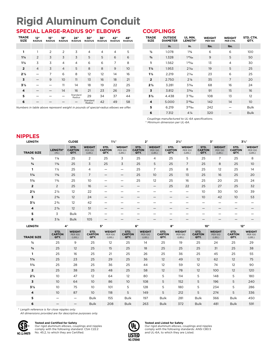# **Rigid Aluminum Conduit SPECIAL LARGE-RADIUS 90° ELBOWS**

#### **TRADE SIZE 12" RADIUS 15" RADIUS 18" RADIUS 24" RADIUS 30" RADIUS 36" RADIUS 42" RADIUS 48" RADIUS 1** 1 2 2 3 4 4 4 5 **1**1/4 2 3 3 3 5 5 6 6 **1**1/2 3 3 4 4 6 6 7 8 **2** 4 3 4 5 8 8 9 10 **2**1/2 — 7 6 8 12 12 14 16 **3** — 9 10 11 13 16 18 21 **3**1/2 — — 11 14 18 19 22 25 **4** — — 14 16 21 23 26 29  $\begin{array}{cccc} 5 & - & - & - & \end{array}$  Standard tangard 29 34 37 44 **6** – – – – <sup>Standard</sup> 42 49 58

*Numbers in table above represent weight in pounds of special-radius elbows we offer.*

#### **COUPLINGS**

| TRADE<br><b>SIZE</b> | <b>OUTSIDE</b><br><b>DIAMETER</b> | UL MIN.<br><b>LENGTH*</b> | <b>WEIGHT</b><br><b>PER 100</b> | <b>WEIGHT</b><br>PER CTN. | STD. CTN.<br>QTY. |
|----------------------|-----------------------------------|---------------------------|---------------------------------|---------------------------|-------------------|
|                      | in.                               | in.                       | lbs.                            | lbs.                      |                   |
| $\frac{1}{2}$        | 1.078                             | $1\frac{5}{8}$            | 6                               | 6                         | 100               |
| $\frac{3}{4}$        | 1.328                             | $14\frac{1}{64}$          | 9                               | 5                         | 50                |
| 1                    | 1.562                             | $13\frac{1}{32}$          | 13                              | $\overline{4}$            | 30                |
| $1\frac{1}{4}$       | 1.953                             | $2\frac{1}{32}$           | 19                              | 5                         | 25                |
| $1\frac{1}{2}$       | 2.219                             | $2\frac{1}{6}$            | 23                              | 6                         | 25                |
| $\overline{2}$       | 2.750                             | $2\frac{1}{8}$            | 35                              | 7                         | 20                |
| $2\frac{1}{2}$       | 3.281                             | $3\frac{3}{16}$           | 68                              | 16                        | 24                |
| 3                    | 3.812                             | $3\frac{5}{16}$           | 91                              | 15                        | 16                |
| $3\frac{1}{2}$       | 4.438                             | $3^{13}/_{32}$            | 108                             | 13                        | $12^{1}$          |
| 4                    | 5.000                             | $3^{33}/64$               | 142                             | 14                        | 10 <sup>°</sup>   |
| 5                    | 6.219                             | $36\frac{1}{64}$          | 242                             |                           | <b>Bulk</b>       |
| 6                    | 7.312                             | $4\frac{1}{4}$            | 320                             |                           | <b>Bulk</b>       |

 *Couplings manufactured to UL-6A specifications.* 

\* *Minimum dimension per UL-6A.*

#### **NIPPLES**

| <b>LENGTH</b>           |                               | <b>CLOSE</b>                              |                                           | $1\frac{1}{2}$ "                          |                                           | 2"                                        |                                           |                               | $2\frac{1}{2}$ "                          |                               | 3"                                        |                               | $3\frac{1}{2}$ "                          |
|-------------------------|-------------------------------|-------------------------------------------|-------------------------------------------|-------------------------------------------|-------------------------------------------|-------------------------------------------|-------------------------------------------|-------------------------------|-------------------------------------------|-------------------------------|-------------------------------------------|-------------------------------|-------------------------------------------|
| <b>TRADE SIZE</b>       | LENGTH*<br>(IN.)              | STD.<br><b>CARTON</b><br>QTY.             | <b>WEIGHT</b><br><b>PER 100</b><br>(LBS.) | STD.<br><b>CARTON</b><br>QTY.             | <b>WEIGHT</b><br><b>PER 100</b><br>(LBS.) | STD.<br><b>CARTON</b><br>QTY.             | <b>WEIGHT</b><br><b>PER 100</b><br>(LBS.) | STD.<br><b>CARTON</b><br>QTY. | <b>WEIGHT</b><br><b>PER 100</b><br>(LBS.) | STD.<br><b>CARTON</b><br>QTY. | <b>WEIGHT</b><br><b>PER 100</b><br>(LBS.) | STD.<br><b>CARTON</b><br>QTY. | <b>WEIGHT</b><br><b>PER 100</b><br>(LBS.) |
| $\frac{1}{2}$           | $1\frac{1}{8}$                | 25                                        | 2                                         | 25                                        | 3                                         | 25                                        | 4                                         | 25                            | 5                                         | 25                            | 7                                         | 25                            | 8                                         |
| $^{3}/_{4}$             | $1\frac{3}{8}$                | 25                                        | 3                                         | 25                                        | 3                                         | 25                                        | 5                                         | 25                            | $\overline{7}$                            | 25                            | 8                                         | 25                            | 10 <sup>°</sup>                           |
| 1                       | $1\frac{1}{2}$                | 25                                        | 4                                         | —                                         | —                                         | 25                                        | $\overline{7}$                            | 25                            | 8                                         | 25                            | 12                                        | 25                            | 14                                        |
| $1\frac{1}{4}$          | $1\frac{5}{8}$                | 25                                        | $\overline{7}$                            |                                           |                                           | 25                                        | 10 <sup>°</sup>                           | 25                            | 13                                        | 25                            | 16                                        | 25                            | 20                                        |
| $1\frac{1}{2}$          | $1\frac{3}{4}$                | 25                                        | 10 <sup>°</sup>                           | —                                         | —                                         | 25                                        | 12                                        | 25                            | 16                                        | 25                            | 20                                        | 25                            | 24                                        |
| $\overline{2}$          | 2                             | 25                                        | 16                                        |                                           |                                           |                                           |                                           | 25                            | 22                                        | 25                            | 27                                        | 25                            | 32                                        |
| $2\frac{1}{2}$          | $2\frac{1}{2}$                | 12                                        | 22                                        | —                                         | -                                         | —                                         | —                                         | —                             | —                                         | 10 <sup>°</sup>               | 30                                        | 10 <sup>°</sup>               | 39                                        |
| $\overline{\mathbf{3}}$ | $2\frac{5}{8}$                | 12                                        | 24                                        |                                           |                                           |                                           |                                           |                               |                                           | 10 <sup>°</sup>               | 42                                        | 10 <sup>°</sup>               | 53                                        |
| 3½                      | $2\frac{3}{4}$                | 12                                        | 42                                        | —                                         | —                                         | —                                         | —                                         | —                             | —                                         | —                             | $\qquad \qquad$                           | $\qquad \qquad$               |                                           |
| $\overline{\mathbf{4}}$ | $2\frac{7}{8}$                | 12                                        | 51                                        |                                           |                                           |                                           |                                           |                               |                                           |                               |                                           |                               |                                           |
| 5                       | 3                             | <b>Bulk</b>                               | 71                                        | -                                         | —                                         | -                                         | -                                         | -                             | —                                         | —                             | —                                         | —                             |                                           |
| 6                       | $3\frac{1}{8}$                | <b>Bulk</b>                               | 105                                       |                                           |                                           |                                           |                                           |                               |                                           |                               |                                           |                               |                                           |
|                         |                               |                                           |                                           |                                           |                                           |                                           |                                           |                               |                                           |                               |                                           |                               |                                           |
| <b>LENGTH</b>           |                               | 4"                                        |                                           | 5"                                        |                                           | 6"                                        |                                           | 8"                            |                                           | 10"                           |                                           | 12"                           |                                           |
| <b>TRADE SIZE</b>       | STD.<br><b>CARTON</b><br>QTY. | <b>WEIGHT</b><br><b>PER 100</b><br>(LBS.) | STD.<br><b>CARTON</b><br>QTY.             | <b>WEIGHT</b><br><b>PER 100</b><br>(LBS.) | STD.<br><b>CARTON</b><br>QTY.             | <b>WEIGHT</b><br><b>PER 100</b><br>(LBS.) |                                           | STD.<br><b>CARTON</b><br>QTY. | <b>WEIGHT</b><br><b>PER 100</b><br>(LES.) | STD.<br><b>CARTON</b><br>QTY. | <b>WEIGHT</b><br><b>PER 100</b><br>(LBS.) | STD.<br><b>CARTON</b><br>QTY. | <b>WEIGHT</b><br><b>PER 100</b><br>(LBS.) |
| $\frac{1}{2}$           | 25                            | 9                                         | 25                                        | 12                                        | 25                                        | 14                                        |                                           | 25                            | 19                                        | 25                            | 24                                        | 25                            | 29                                        |
| $^{3}/_{4}$             | 25                            | 12                                        | 25                                        | 15                                        | 25                                        | 18                                        |                                           | 25                            | 25                                        | 25                            | 31                                        | 25                            | 38                                        |
| 1                       | 25                            | 16                                        | 25                                        | 21                                        | 25                                        | 26                                        |                                           | 25                            | 36                                        | 25                            | 45                                        | 25                            | 55                                        |
| $1\frac{1}{4}$          | 25                            | 23                                        | 25                                        | 29                                        | 25                                        | 36                                        |                                           | 12                            | 49                                        | 12                            | 62                                        | 12                            | 75                                        |
| $1\frac{1}{2}$          | 25                            | 28                                        | 25                                        | 36                                        | 25                                        | 44                                        |                                           | 12                            | 59                                        | 12                            | 74                                        | 12                            | 90                                        |
| $\overline{2}$          | 25                            | 38                                        | 25                                        | 48                                        | 25                                        | 58                                        |                                           | 12                            | 78                                        | 12                            | 100                                       | 12                            | 120                                       |
| $2\frac{1}{2}$          | 10                            | 47                                        | 12                                        | 64                                        | 12                                        | 80                                        |                                           | 5                             | 114                                       | 5                             | 148                                       | 5                             | 180                                       |
| 3                       | 10 <sup>°</sup>               | 64                                        | 10 <sup>°</sup>                           | 86                                        | 10 <sup>°</sup>                           | 108                                       |                                           | 5                             | 152                                       | 5                             | 196                                       | 5                             | 240                                       |
| $3\frac{1}{2}$          | 10                            | 75                                        | 10 <sup>°</sup>                           | 101                                       | 5                                         | 128                                       |                                           | 5                             | 180                                       | 5                             | 234                                       | 5                             | 286                                       |
| 4                       | 10                            | 87                                        | 10 <sup>°</sup>                           | 118                                       | 5                                         | 149                                       |                                           | 5                             | 212                                       | 5                             | 274                                       | 5                             | 336                                       |
| 5                       | $\overline{\phantom{0}}$      | $\qquad \qquad$                           | <b>Bulk</b>                               | 155                                       | <b>Bulk</b>                               | 197                                       |                                           | <b>Bulk</b>                   | 281                                       | <b>Bulk</b>                   | 366                                       | <b>Bulk</b>                   | 450                                       |

*\* Length reference is for close nipples only.*

 *All dimensions provided are for descriptive purposes only.*



#### **Tested and Certified for Safety**



Our rigid aluminum elbows, couplings and nipples comply with the following standard: CSA C22.2



**Tested and Listed for Safety**

Our rigid aluminum elbows, couplings and nipples comply with the following standards: ANSI C80.5 and UL-6A, to which they are Listed.